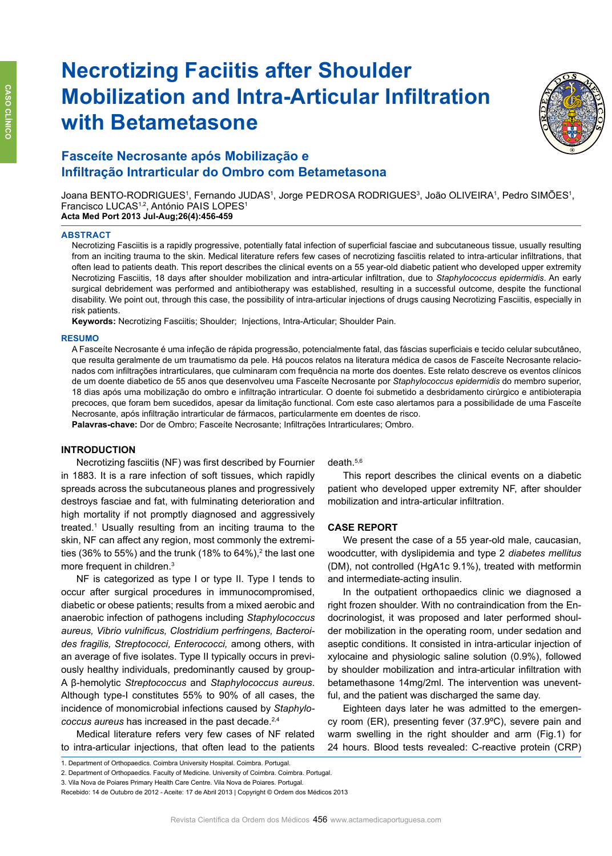# **Necrotizing Faciitis after Shoulder Mobilization and Intra-Articular Infiltration with Betametasone**



# **Fasceíte Necrosante após Mobilização e Infiltração Intrarticular do Ombro com Betametasona**

Joana BENTO-RODRIGUES', Fernando JUDAS', Jorge PEDROSA RODRIGUES<sup>3</sup>, João OLIVEIRA', Pedro SIMÕES', Francisco LUCAS<sup>1,2</sup>, António PAIS LOPES<sup>1</sup> **Acta Med Port 2013 Jul-Aug;26(4):456-459**

## **Abstract**

Necrotizing Fasciitis is a rapidly progressive, potentially fatal infection of superficial fasciae and subcutaneous tissue, usually resulting from an inciting trauma to the skin. Medical literature refers few cases of necrotizing fasciitis related to intra-articular infiltrations, that often lead to patients death. This report describes the clinical events on a 55 year-old diabetic patient who developed upper extremity Necrotizing Fasciitis, 18 days after shoulder mobilization and intra-articular infiltration, due to *Staphylococcus epidermidis*. An early surgical debridement was performed and antibiotherapy was established, resulting in a successful outcome, despite the functional disability. We point out, through this case, the possibility of intra-articular injections of drugs causing Necrotizing Fasciitis, especially in risk patients.

**Keywords:** Necrotizing Fasciitis; Shoulder; Injections, Intra-Articular; Shoulder Pain.

### **RESUMO**

A Fasceíte Necrosante é uma infeção de rápida progressão, potencialmente fatal, das fáscias superficiais e tecido celular subcutâneo, que resulta geralmente de um traumatismo da pele. Há poucos relatos na literatura médica de casos de Fasceíte Necrosante relacionados com infiltrações intrarticulares, que culminaram com frequência na morte dos doentes. Este relato descreve os eventos clínicos de um doente diabetico de 55 anos que desenvolveu uma Fasceíte Necrosante por *Staphylococcus epidermidis* do membro superior, 18 dias após uma mobilização do ombro e infiltração intrarticular. O doente foi submetido a desbridamento cirúrgico e antibioterapia precoces, que foram bem sucedidos, apesar da limitação functional. Com este caso alertamos para a possibilidade de uma Fasceíte Necrosante, após infiltração intrarticular de fármacos, particularmente em doentes de risco. Palavras-chave: Dor de Ombro; Fasceíte Necrosante; Infiltrações Intrarticulares; Ombro.

# **INTRODUCTION**

Necrotizing fasciitis (NF) was first described by Fournier in 1883. It is a rare infection of soft tissues, which rapidly spreads across the subcutaneous planes and progressively destroys fasciae and fat, with fulminating deterioration and high mortality if not promptly diagnosed and aggressively treated.<sup>1</sup> Usually resulting from an inciting trauma to the skin, NF can affect any region, most commonly the extremities (36% to 55%) and the trunk (18% to 64%),<sup>2</sup> the last one more frequent in children.<sup>3</sup>

NF is categorized as type I or type II. Type I tends to occur after surgical procedures in immunocompromised, diabetic or obese patients; results from a mixed aerobic and anaerobic infection of pathogens including *Staphylococcus aureus, Vibrio vulnificus, Clostridium perfringens, Bacteroides fragilis, Streptococci, Enterococci,* among others, with an average of five isolates. Type II typically occurs in previously healthy individuals, predominantly caused by group-A β-hemolytic *Streptococcus* and *Staphylococcus aureus*. Although type-I constitutes 55% to 90% of all cases, the incidence of monomicrobial infections caused by *Staphylococcus aureus* has increased in the past decade.2,4

Medical literature refers very few cases of NF related to intra-articular injections, that often lead to the patients

death.5,6

This report describes the clinical events on a diabetic patient who developed upper extremity NF, after shoulder mobilization and intra-articular infiltration.

# **CASE REPORT**

We present the case of a 55 year-old male, caucasian, woodcutter, with dyslipidemia and type 2 *diabetes mellitus*  (DM), not controlled (HgA1c 9.1%), treated with metformin and intermediate-acting insulin.

In the outpatient orthopaedics clinic we diagnosed a right frozen shoulder. With no contraindication from the Endocrinologist, it was proposed and later performed shoulder mobilization in the operating room, under sedation and aseptic conditions. It consisted in intra-articular injection of xylocaine and physiologic saline solution (0.9%), followed by shoulder mobilization and intra-articular infiltration with betamethasone 14mg/2ml. The intervention was uneventful, and the patient was discharged the same day.

Eighteen days later he was admitted to the emergency room (ER), presenting fever (37.9ºC), severe pain and warm swelling in the right shoulder and arm (Fig.1) for 24 hours. Blood tests revealed: C-reactive protein (CRP)

<sup>1.</sup> Department of Orthopaedics. Coimbra University Hospital. Coimbra. Portugal.

<sup>2.</sup> Department of Orthopaedics. Faculty of Medicine. University of Coimbra. Coimbra. Portugal.

<sup>3.</sup> Vila Nova de Poiares Primary Health Care Centre. Vila Nova de Poiares. Portugal.

Recebido: 14 de Outubro de 2012 - Aceite: 17 de Abril 2013 | Copyright © Ordem dos Médicos 2013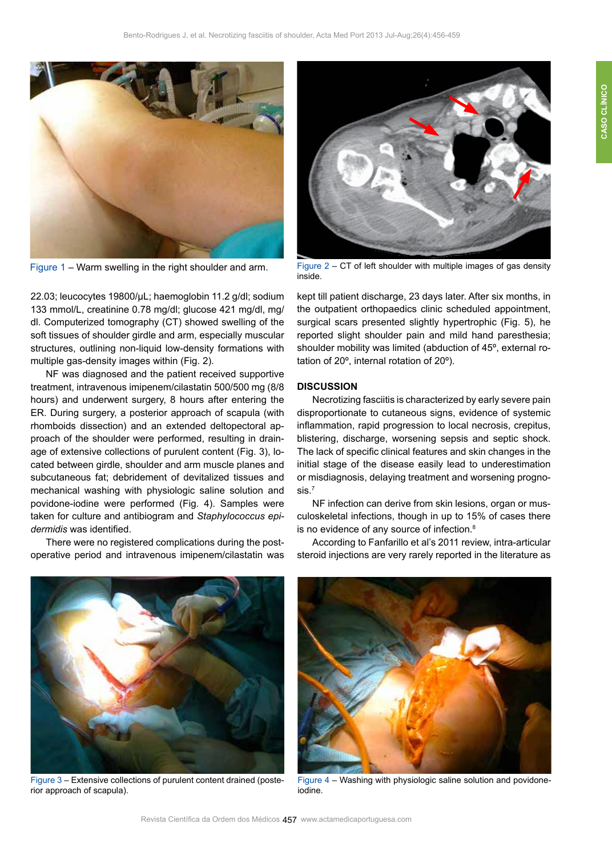

22.03; leucocytes 19800/μL; haemoglobin 11.2 g/dl; sodium 133 mmol/L, creatinine 0.78 mg/dl; glucose 421 mg/dl, mg/ dl. Computerized tomography (CT) showed swelling of the soft tissues of shoulder girdle and arm, especially muscular structures, outlining non-liquid low-density formations with multiple gas-density images within (Fig. 2).

NF was diagnosed and the patient received supportive treatment, intravenous imipenem/cilastatin 500/500 mg (8/8 hours) and underwent surgery, 8 hours after entering the ER. During surgery, a posterior approach of scapula (with rhomboids dissection) and an extended deltopectoral approach of the shoulder were performed, resulting in drainage of extensive collections of purulent content (Fig. 3), located between girdle, shoulder and arm muscle planes and subcutaneous fat; debridement of devitalized tissues and mechanical washing with physiologic saline solution and povidone-iodine were performed (Fig. 4). Samples were taken for culture and antibiogram and *Staphylococcus epidermidis* was identified.

There were no registered complications during the postoperative period and intravenous imipenem/cilastatin was



Figure 1 – Warm swelling in the right shoulder and arm. Figure 2 – CT of left shoulder with multiple images of gas density inside.

kept till patient discharge, 23 days later. After six months, in the outpatient orthopaedics clinic scheduled appointment, surgical scars presented slightly hypertrophic (Fig. 5), he reported slight shoulder pain and mild hand paresthesia; shoulder mobility was limited (abduction of 45º, external rotation of 20º, internal rotation of 20º).

# **DISCUSSION**

Necrotizing fasciitis is characterized by early severe pain disproportionate to cutaneous signs, evidence of systemic inflammation, rapid progression to local necrosis, crepitus, blistering, discharge, worsening sepsis and septic shock. The lack of specific clinical features and skin changes in the initial stage of the disease easily lead to underestimation or misdiagnosis, delaying treatment and worsening prognosis.7

NF infection can derive from skin lesions, organ or musculoskeletal infections, though in up to 15% of cases there is no evidence of any source of infection.<sup>8</sup>

According to Fanfarillo et al's 2011 review, intra-articular steroid injections are very rarely reported in the literature as



Figure 3 – Extensive collections of purulent content drained (posterior approach of scapula).



Figure 4 – Washing with physiologic saline solution and povidoneiodine.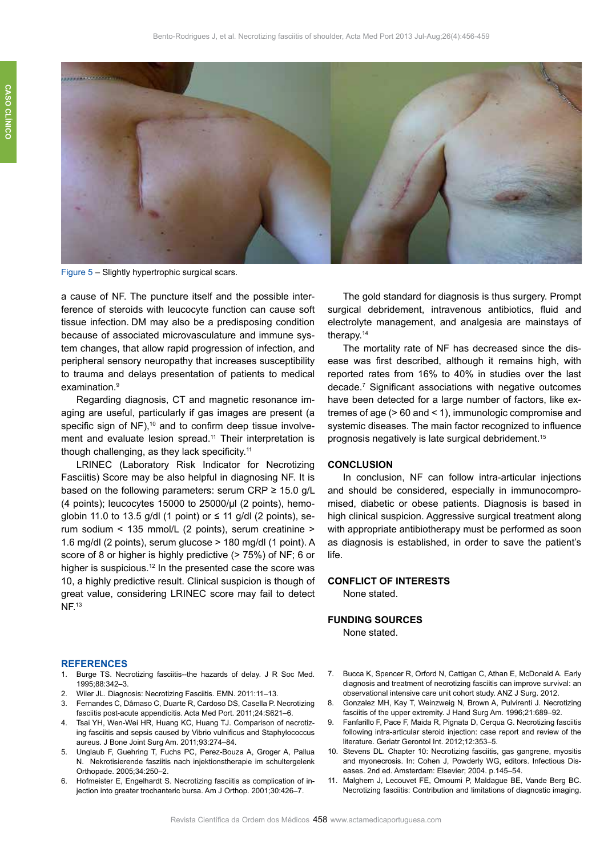

Figure 5 – Slightly hypertrophic surgical scars.

a cause of NF. The puncture itself and the possible interference of steroids with leucocyte function can cause soft tissue infection. DM may also be a predisposing condition because of associated microvasculature and immune system changes, that allow rapid progression of infection, and peripheral sensory neuropathy that increases susceptibility to trauma and delays presentation of patients to medical examination.<sup>9</sup>

Regarding diagnosis, CT and magnetic resonance imaging are useful, particularly if gas images are present (a specific sign of NF),<sup>10</sup> and to confirm deep tissue involvement and evaluate lesion spread.<sup>11</sup> Their interpretation is though challenging, as they lack specificity.<sup>11</sup>

LRINEC (Laboratory Risk Indicator for Necrotizing Fasciitis) Score may be also helpful in diagnosing NF. It is based on the following parameters: serum CRP  $\geq$  15.0 g/L (4 points); leucocytes 15000 to 25000/μl (2 points), hemoglobin 11.0 to 13.5 g/dl (1 point) or  $\leq$  11 g/dl (2 points), serum sodium < 135 mmol/L (2 points), serum creatinine > 1.6 mg/dl (2 points), serum glucose > 180 mg/dl (1 point). A score of 8 or higher is highly predictive (> 75%) of NF; 6 or higher is suspicious.<sup>12</sup> In the presented case the score was 10, a highly predictive result. Clinical suspicion is though of great value, considering LRINEC score may fail to detect NF.<sup>13</sup>

The gold standard for diagnosis is thus surgery. Prompt surgical debridement, intravenous antibiotics, fluid and electrolyte management, and analgesia are mainstays of therapy.<sup>14</sup>

The mortality rate of NF has decreased since the disease was first described, although it remains high, with reported rates from 16% to 40% in studies over the last decade.7 Significant associations with negative outcomes have been detected for a large number of factors, like extremes of age (> 60 and < 1), immunologic compromise and systemic diseases. The main factor recognized to influence prognosis negatively is late surgical debridement.<sup>15</sup>

# **CONCLUSION**

In conclusion, NF can follow intra-articular injections and should be considered, especially in immunocompromised, diabetic or obese patients. Diagnosis is based in high clinical suspicion. Aggressive surgical treatment along with appropriate antibiotherapy must be performed as soon as diagnosis is established, in order to save the patient's life.

# **CONFLICT OF INTERESTS**

None stated.

# **FUNDING SOURCES**

None stated.

### **REFERENCES**

- 1. Burge TS. Necrotizing fasciitis--the hazards of delay. J R Soc Med. 1995;88:342–3.
- 2. Wiler JL. Diagnosis: Necrotizing Fasciitis. EMN. 2011:11–13.
- 3. Fernandes C, Dâmaso C, Duarte R, Cardoso DS, Casella P. Necrotizing fasciitis post-acute appendicitis. Acta Med Port. 2011;24:S621–6.
- 4. Tsai YH, Wen-Wei HR, Huang KC, Huang TJ. Comparison of necrotizing fasciitis and sepsis caused by Vibrio vulnificus and Staphylococcus aureus. J Bone Joint Surg Am. 2011;93:274–84.
- 5. Unglaub F, Guehring T, Fuchs PC, Perez-Bouza A, Groger A, Pallua N. Nekrotisierende fasziitis nach injektionstherapie im schultergelenk Orthopade. 2005;34:250–2.
- 6. Hofmeister E, Engelhardt S. Necrotizing fasciitis as complication of injection into greater trochanteric bursa. Am J Orthop. 2001;30:426–7.
- 7. Bucca K, Spencer R, Orford N, Cattigan C, Athan E, McDonald A. Early diagnosis and treatment of necrotizing fasciitis can improve survival: an observational intensive care unit cohort study. ANZ J Surg. 2012.
- 8. Gonzalez MH, Kay T, Weinzweig N, Brown A, Pulvirenti J. Necrotizing fasciitis of the upper extremity. J Hand Surg Am. 1996;21:689–92.
- 9. Fanfarillo F, Pace F, Maida R, Pignata D, Cerqua G. Necrotizing fasciitis following intra-articular steroid injection: case report and review of the literature. Geriatr Gerontol Int. 2012;12:353–5.
- 10. Stevens DL. Chapter 10: Necrotizing fasciitis, gas gangrene, myositis and myonecrosis. In: Cohen J, Powderly WG, editors. Infectious Diseases. 2nd ed. Amsterdam: Elsevier; 2004. p.145–54.
- 11. Malghem J, Lecouvet FE, Omoumi P, Maldague BE, Vande Berg BC. Necrotizing fasciitis: Contribution and limitations of diagnostic imaging.